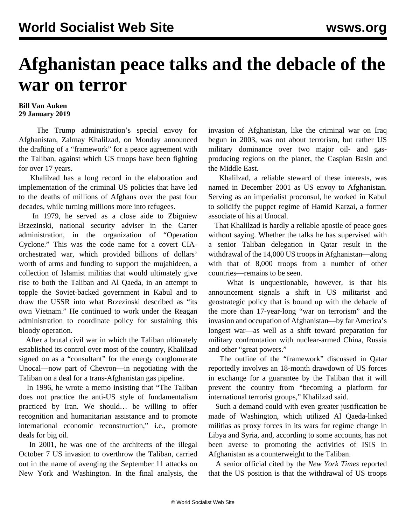## **Afghanistan peace talks and the debacle of the war on terror**

## **Bill Van Auken 29 January 2019**

 The Trump administration's special envoy for Afghanistan, Zalmay Khalilzad, on Monday announced the drafting of a "framework" for a peace agreement with the Taliban, against which US troops have been fighting for over 17 years.

 Khalilzad has a long record in the elaboration and implementation of the criminal US policies that have led to the deaths of millions of Afghans over the past four decades, while turning millions more into refugees.

 In 1979, he served as a close aide to Zbigniew Brzezinski, national security adviser in the Carter administration, in the organization of "Operation Cyclone." This was the code name for a covert CIAorchestrated war, which provided billions of dollars' worth of arms and funding to support the mujahideen, a collection of Islamist militias that would ultimately give rise to both the Taliban and Al Qaeda, in an attempt to topple the Soviet-backed government in Kabul and to draw the USSR into what Brzezinski described as "its own Vietnam." He continued to work under the Reagan administration to coordinate policy for sustaining this bloody operation.

 After a brutal civil war in which the Taliban ultimately established its control over most of the country, Khalilzad signed on as a "consultant" for the energy conglomerate Unocal—now part of Chevron—in negotiating with the Taliban on a deal for a trans-Afghanistan gas pipeline.

 In 1996, he wrote a memo insisting that "The Taliban does not practice the anti-US style of fundamentalism practiced by Iran. We should… be willing to offer recognition and humanitarian assistance and to promote international economic reconstruction," i.e., promote deals for big oil.

 In 2001, he was one of the architects of the illegal October 7 US invasion to overthrow the Taliban, carried out in the name of avenging the September 11 attacks on New York and Washington. In the final analysis, the invasion of Afghanistan, like the criminal war on Iraq begun in 2003, was not about terrorism, but rather US military dominance over two major oil- and gasproducing regions on the planet, the Caspian Basin and the Middle East.

 Khalilzad, a reliable steward of these interests, was named in December 2001 as US envoy to Afghanistan. Serving as an imperialist proconsul, he worked in Kabul to solidify the puppet regime of Hamid Karzai, a former associate of his at Unocal.

 That Khalilzad is hardly a reliable apostle of peace goes without saying. Whether the talks he has supervised with a senior Taliban delegation in Qatar result in the withdrawal of the 14,000 US troops in Afghanistan—along with that of 8,000 troops from a number of other countries—remains to be seen.

 What is unquestionable, however, is that his announcement signals a shift in US militarist and geostrategic policy that is bound up with the debacle of the more than 17-year-long "war on terrorism" and the invasion and occupation of Afghanistan—by far America's longest war—as well as a shift toward preparation for military confrontation with nuclear-armed China, Russia and other "great powers."

 The outline of the "framework" discussed in Qatar reportedly involves an 18-month drawdown of US forces in exchange for a guarantee by the Taliban that it will prevent the country from "becoming a platform for international terrorist groups," Khalilzad said.

 Such a demand could with even greater justification be made of Washington, which utilized Al Qaeda-linked militias as proxy forces in its wars for regime change in Libya and Syria, and, according to some accounts, has not been averse to promoting the activities of ISIS in Afghanistan as a counterweight to the Taliban.

 A senior official cited by the *New York Times* reported that the US position is that the withdrawal of US troops